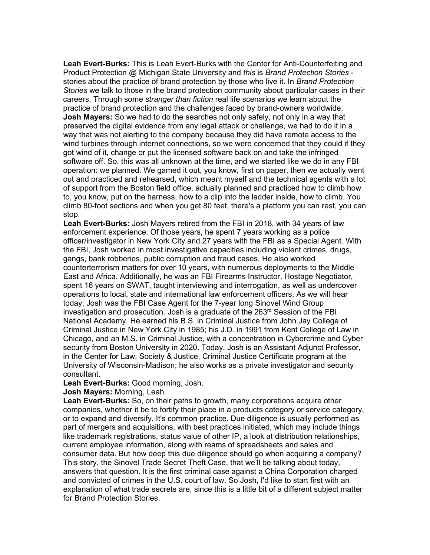**Leah Evert-Burks:** This is Leah Evert-Burks with the Center for Anti-Counterfeiting and Product Protection @ Michigan State University and *this* is *Brand Protection Stories* stories about the practice of brand protection by those who live it. In *Brand Protection Stories* we talk to those in the brand protection community about particular cases in their careers. Through some *stranger than fiction* real life scenarios we learn about the practice of brand protection and the challenges faced by brand-owners worldwide. **Josh Mayers:** So we had to do the searches not only safely, not only in a way that preserved the digital evidence from any legal attack or challenge, we had to do it in a way that was not alerting to the company because they did have remote access to the wind turbines through internet connections, so we were concerned that they could if they got wind of it, change or put the licensed software back on and take the infringed software off. So, this was all unknown at the time, and we started like we do in any FBI operation: we planned. We gamed it out, you know, first on paper, then we actually went out and practiced and rehearsed, which meant myself and the technical agents with a lot of support from the Boston field office, actually planned and practiced how to climb how to, you know, put on the harness, how to a clip into the ladder inside, how to climb. You climb 80-foot sections and when you get 80 feet, there's a platform you can rest, you can stop.

**Leah Evert-Burks:** Josh Mayers retired from the FBI in 2018, with 34 years of law enforcement experience. Of those years, he spent 7 years working as a police officer/investigator in New York City and 27 years with the FBI as a Special Agent. With the FBI, Josh worked in most investigative capacities including violent crimes, drugs, gangs, bank robberies, public corruption and fraud cases. He also worked counterterrorism matters for over 10 years, with numerous deployments to the Middle East and Africa. Additionally, he was an FBI Firearms Instructor, Hostage Negotiator, spent 16 years on SWAT, taught interviewing and interrogation, as well as undercover operations to local, state and international law enforcement officers. As we will hear today, Josh was the FBI Case Agent for the 7-year long Sinovel Wind Group investigation and prosecution. Josh is a graduate of the 263rd Session of the FBI National Academy. He earned his B.S. in Criminal Justice from John Jay College of Criminal Justice in New York City in 1985; his J.D. in 1991 from Kent College of Law in Chicago, and an M.S. in Criminal Justice, with a concentration in Cybercrime and Cyber security from Boston University in 2020. Today, Josh is an Assistant Adjunct Professor, in the Center for Law, Society & Justice, Criminal Justice Certificate program at the University of Wisconsin-Madison; he also works as a private investigator and security consultant.

**Leah Evert-Burks:** Good morning, Josh.

**Josh Mayers:** Morning, Leah.

**Leah Evert-Burks:** So, on their paths to growth, many corporations acquire other companies, whether it be to fortify their place in a products category or service category, or to expand and diversify. It's common practice. Due diligence is usually performed as part of mergers and acquisitions, with best practices initiated, which may include things like trademark registrations, status value of other IP, a look at distribution relationships, current employee information, along with reams of spreadsheets and sales and consumer data. But how deep this due diligence should go when acquiring a company? This story, the Sinovel Trade Secret Theft Case, that we'll be talking about today, answers that question. It is the first criminal case against a China Corporation charged and convicted of crimes in the U.S. court of law. So Josh, I'd like to start first with an explanation of what trade secrets are, since this is a little bit of a different subject matter for Brand Protection Stories.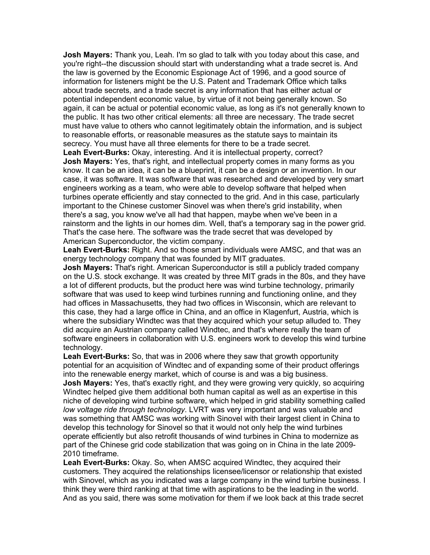**Josh Mayers:** Thank you, Leah. I'm so glad to talk with you today about this case, and you're right--the discussion should start with understanding what a trade secret is. And the law is governed by the Economic Espionage Act of 1996, and a good source of information for listeners might be the U.S. Patent and Trademark Office which talks about trade secrets, and a trade secret is any information that has either actual or potential independent economic value, by virtue of it not being generally known. So again, it can be actual or potential economic value, as long as it's not generally known to the public. It has two other critical elements: all three are necessary. The trade secret must have value to others who cannot legitimately obtain the information, and is subject to reasonable efforts, or reasonable measures as the statute says to maintain its secrecy. You must have all three elements for there to be a trade secret.

**Leah Evert-Burks:** Okay, interesting. And it is intellectual property, correct? **Josh Mayers:** Yes, that's right, and intellectual property comes in many forms as you know. It can be an idea, it can be a blueprint, it can be a design or an invention. In our case, it was software. It was software that was researched and developed by very smart engineers working as a team, who were able to develop software that helped when turbines operate efficiently and stay connected to the grid. And in this case, particularly important to the Chinese customer Sinovel was when there's grid instability, when there's a sag, you know we've all had that happen, maybe when we've been in a rainstorm and the lights in our homes dim. Well, that's a temporary sag in the power grid. That's the case here. The software was the trade secret that was developed by American Superconductor, the victim company.

**Leah Evert-Burks:** Right. And so those smart individuals were AMSC, and that was an energy technology company that was founded by MIT graduates.

**Josh Mayers:** That's right. American Superconductor is still a publicly traded company on the U.S. stock exchange. It was created by three MIT grads in the 80s, and they have a lot of different products, but the product here was wind turbine technology, primarily software that was used to keep wind turbines running and functioning online, and they had offices in Massachusetts, they had two offices in Wisconsin, which are relevant to this case, they had a large office in China, and an office in Klagenfurt, Austria, which is where the subsidiary Windtec was that they acquired which your setup alluded to. They did acquire an Austrian company called Windtec, and that's where really the team of software engineers in collaboration with U.S. engineers work to develop this wind turbine technology.

**Leah Evert-Burks:** So, that was in 2006 where they saw that growth opportunity potential for an acquisition of Windtec and of expanding some of their product offerings into the renewable energy market, which of course is and was a big business.

**Josh Mayers:** Yes, that's exactly right, and they were growing very quickly, so acquiring Windtec helped give them additional both human capital as well as an expertise in this niche of developing wind turbine software, which helped in grid stability something called *low voltage ride through technology*. LVRT was very important and was valuable and was something that AMSC was working with Sinovel with their largest client in China to develop this technology for Sinovel so that it would not only help the wind turbines operate efficiently but also retrofit thousands of wind turbines in China to modernize as part of the Chinese grid code stabilization that was going on in China in the late 2009- 2010 timeframe.

**Leah Evert-Burks:** Okay. So, when AMSC acquired Windtec, they acquired their customers. They acquired the relationships licensee/licensor or relationship that existed with Sinovel, which as you indicated was a large company in the wind turbine business. I think they were third ranking at that time with aspirations to be the leading in the world. And as you said, there was some motivation for them if we look back at this trade secret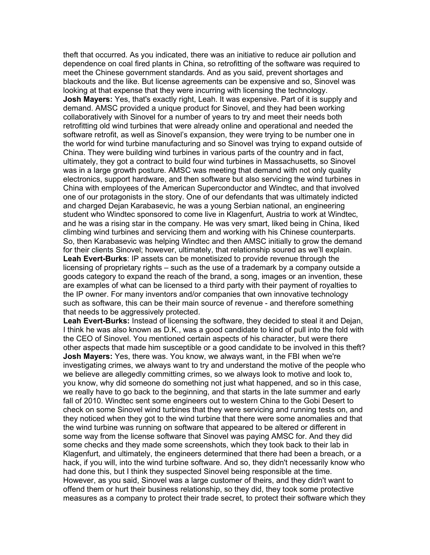theft that occurred. As you indicated, there was an initiative to reduce air pollution and dependence on coal fired plants in China, so retrofitting of the software was required to meet the Chinese government standards. And as you said, prevent shortages and blackouts and the like. But license agreements can be expensive and so, Sinovel was looking at that expense that they were incurring with licensing the technology. **Josh Mayers:** Yes, that's exactly right, Leah. It was expensive. Part of it is supply and demand. AMSC provided a unique product for Sinovel, and they had been working collaboratively with Sinovel for a number of years to try and meet their needs both retrofitting old wind turbines that were already online and operational and needed the software retrofit, as well as Sinovel's expansion, they were trying to be number one in the world for wind turbine manufacturing and so Sinovel was trying to expand outside of China. They were building wind turbines in various parts of the country and in fact, ultimately, they got a contract to build four wind turbines in Massachusetts, so Sinovel was in a large growth posture. AMSC was meeting that demand with not only quality electronics, support hardware, and then software but also servicing the wind turbines in China with employees of the American Superconductor and Windtec, and that involved one of our protagonists in the story. One of our defendants that was ultimately indicted and charged Dejan Karabasevic, he was a young Serbian national, an engineering student who Windtec sponsored to come live in Klagenfurt, Austria to work at Windtec, and he was a rising star in the company. He was very smart, liked being in China, liked climbing wind turbines and servicing them and working with his Chinese counterparts. So, then Karabasevic was helping Windtec and then AMSC initially to grow the demand for their clients Sinovel; however, ultimately, that relationship soured as we'll explain. **Leah Evert-Burks**: IP assets can be monetisized to provide revenue through the licensing of proprietary rights – such as the use of a trademark by a company outside a goods category to expand the reach of the brand, a song, images or an invention, these are examples of what can be licensed to a third party with their payment of royalties to the IP owner. For many inventors and/or companies that own innovative technology such as software, this can be their main source of revenue - and therefore something that needs to be aggressively protected.

**Leah Evert-Burks:** Instead of licensing the software, they decided to steal it and Dejan, I think he was also known as D.K., was a good candidate to kind of pull into the fold with the CEO of Sinovel. You mentioned certain aspects of his character, but were there other aspects that made him susceptible or a good candidate to be involved in this theft? **Josh Mayers:** Yes, there was. You know, we always want, in the FBI when we're investigating crimes, we always want to try and understand the motive of the people who we believe are allegedly committing crimes, so we always look to motive and look to, you know, why did someone do something not just what happened, and so in this case, we really have to go back to the beginning, and that starts in the late summer and early fall of 2010. Windtec sent some engineers out to western China to the Gobi Desert to check on some Sinovel wind turbines that they were servicing and running tests on, and they noticed when they got to the wind turbine that there were some anomalies and that the wind turbine was running on software that appeared to be altered or different in some way from the license software that Sinovel was paying AMSC for. And they did some checks and they made some screenshots, which they took back to their lab in Klagenfurt, and ultimately, the engineers determined that there had been a breach, or a hack, if you will, into the wind turbine software. And so, they didn't necessarily know who had done this, but I think they suspected Sinovel being responsible at the time. However, as you said, Sinovel was a large customer of theirs, and they didn't want to offend them or hurt their business relationship, so they did, they took some protective measures as a company to protect their trade secret, to protect their software which they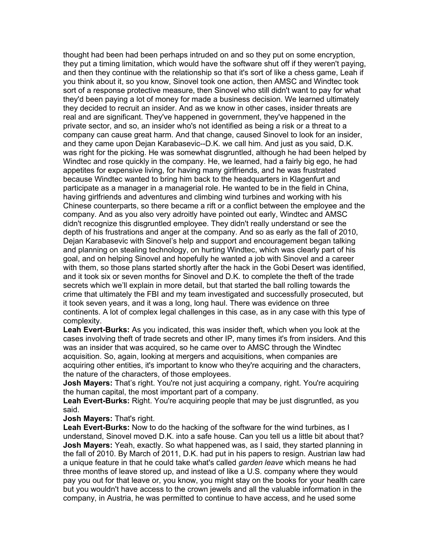thought had been had been perhaps intruded on and so they put on some encryption, they put a timing limitation, which would have the software shut off if they weren't paying, and then they continue with the relationship so that it's sort of like a chess game, Leah if you think about it, so you know, Sinovel took one action, then AMSC and Windtec took sort of a response protective measure, then Sinovel who still didn't want to pay for what they'd been paying a lot of money for made a business decision. We learned ultimately they decided to recruit an insider. And as we know in other cases, insider threats are real and are significant. They've happened in government, they've happened in the private sector, and so, an insider who's not identified as being a risk or a threat to a company can cause great harm. And that change, caused Sinovel to look for an insider, and they came upon Dejan Karabasevic--D.K. we call him. And just as you said, D.K. was right for the picking. He was somewhat disgruntled, although he had been helped by Windtec and rose quickly in the company. He, we learned, had a fairly big ego, he had appetites for expensive living, for having many girlfriends, and he was frustrated because Windtec wanted to bring him back to the headquarters in Klagenfurt and participate as a manager in a managerial role. He wanted to be in the field in China, having girlfriends and adventures and climbing wind turbines and working with his Chinese counterparts, so there became a rift or a conflict between the employee and the company. And as you also very adroitly have pointed out early, Windtec and AMSC didn't recognize this disgruntled employee. They didn't really understand or see the depth of his frustrations and anger at the company. And so as early as the fall of 2010, Dejan Karabasevic with Sinovel's help and support and encouragement began talking and planning on stealing technology, on hurting Windtec, which was clearly part of his goal, and on helping Sinovel and hopefully he wanted a job with Sinovel and a career with them, so those plans started shortly after the hack in the Gobi Desert was identified, and it took six or seven months for Sinovel and D.K. to complete the theft of the trade secrets which we'll explain in more detail, but that started the ball rolling towards the crime that ultimately the FBI and my team investigated and successfully prosecuted, but it took seven years, and it was a long, long haul. There was evidence on three continents. A lot of complex legal challenges in this case, as in any case with this type of complexity.

**Leah Evert-Burks:** As you indicated, this was insider theft, which when you look at the cases involving theft of trade secrets and other IP, many times it's from insiders. And this was an insider that was acquired, so he came over to AMSC through the Windtec acquisition. So, again, looking at mergers and acquisitions, when companies are acquiring other entities, it's important to know who they're acquiring and the characters, the nature of the characters, of those employees.

**Josh Mayers:** That's right. You're not just acquiring a company, right. You're acquiring the human capital, the most important part of a company.

**Leah Evert-Burks:** Right. You're acquiring people that may be just disgruntled, as you said.

## **Josh Mayers:** That's right.

**Leah Evert-Burks:** Now to do the hacking of the software for the wind turbines, as I understand, Sinovel moved D.K. into a safe house. Can you tell us a little bit about that? **Josh Mayers:** Yeah, exactly. So what happened was, as I said, they started planning in the fall of 2010. By March of 2011, D.K. had put in his papers to resign. Austrian law had a unique feature in that he could take what's called *garden leave* which means he had three months of leave stored up, and instead of like a U.S. company where they would pay you out for that leave or, you know, you might stay on the books for your health care but you wouldn't have access to the crown jewels and all the valuable information in the company, in Austria, he was permitted to continue to have access, and he used some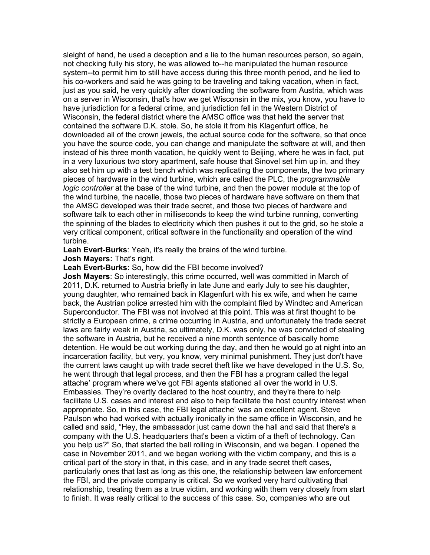sleight of hand, he used a deception and a lie to the human resources person, so again, not checking fully his story, he was allowed to--he manipulated the human resource system--to permit him to still have access during this three month period, and he lied to his co-workers and said he was going to be traveling and taking vacation, when in fact, just as you said, he very quickly after downloading the software from Austria, which was on a server in Wisconsin, that's how we get Wisconsin in the mix, you know, you have to have jurisdiction for a federal crime, and jurisdiction fell in the Western District of Wisconsin, the federal district where the AMSC office was that held the server that contained the software D.K. stole. So, he stole it from his Klagenfurt office, he downloaded all of the crown jewels, the actual source code for the software, so that once you have the source code, you can change and manipulate the software at will, and then instead of his three month vacation, he quickly went to Beijing, where he was in fact, put in a very luxurious two story apartment, safe house that Sinovel set him up in, and they also set him up with a test bench which was replicating the components, the two primary pieces of hardware in the wind turbine, which are called the PLC, the *programmable logic controller* at the base of the wind turbine, and then the power module at the top of the wind turbine, the nacelle, those two pieces of hardware have software on them that the AMSC developed was their trade secret, and those two pieces of hardware and software talk to each other in milliseconds to keep the wind turbine running, converting the spinning of the blades to electricity which then pushes it out to the grid, so he stole a very critical component, critical software in the functionality and operation of the wind turbine.

**Leah Evert-Burks**: Yeah, it's really the brains of the wind turbine.

**Josh Mayers:** That's right.

**Leah Evert-Burks:** So, how did the FBI become involved?

**Josh Mayers**: So interestingly, this crime occurred, well was committed in March of 2011, D.K. returned to Austria briefly in late June and early July to see his daughter, young daughter, who remained back in Klagenfurt with his ex wife, and when he came back, the Austrian police arrested him with the complaint filed by Windtec and American Superconductor. The FBI was not involved at this point. This was at first thought to be strictly a European crime, a crime occurring in Austria, and unfortunately the trade secret laws are fairly weak in Austria, so ultimately, D.K. was only, he was convicted of stealing the software in Austria, but he received a nine month sentence of basically home detention. He would be out working during the day, and then he would go at night into an incarceration facility, but very, you know, very minimal punishment. They just don't have the current laws caught up with trade secret theft like we have developed in the U.S. So, he went through that legal process, and then the FBI has a program called the legal attache' program where we've got FBI agents stationed all over the world in U.S. Embassies. They're overtly declared to the host country, and they're there to help facilitate U.S. cases and interest and also to help facilitate the host country interest when appropriate. So, in this case, the FBI legal attache' was an excellent agent. Steve Paulson who had worked with actually ironically in the same office in Wisconsin, and he called and said, "Hey, the ambassador just came down the hall and said that there's a company with the U.S. headquarters that's been a victim of a theft of technology. Can you help us?" So, that started the ball rolling in Wisconsin, and we began. I opened the case in November 2011, and we began working with the victim company, and this is a critical part of the story in that, in this case, and in any trade secret theft cases, particularly ones that last as long as this one, the relationship between law enforcement the FBI, and the private company is critical. So we worked very hard cultivating that relationship, treating them as a true victim, and working with them very closely from start to finish. It was really critical to the success of this case. So, companies who are out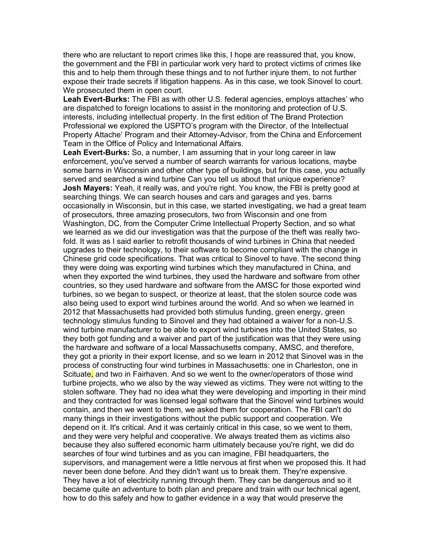there who are reluctant to report crimes like this, I hope are reassured that, you know, the government and the FBI in particular work very hard to protect victims of crimes like this and to help them through these things and to not further injure them, to not further expose their trade secrets if litigation happens. As in this case, we took Sinovel to court. We prosecuted them in open court.

**Leah Evert-Burks:** The FBI as with other U.S. federal agencies, employs attaches' who are dispatched to foreign locations to assist in the monitoring and protection of U.S. interests, including intellectual property. In the first edition of The Brand Protection Professional we explored the USPTO's program with the Director, of the Intellectual Property Attache' Program and their Attorney-Advisor, from the China and Enforcement Team in the Office of Policy and International Affairs.

**Leah Evert-Burks:** So, a number, I am assuming that in your long career in law enforcement, you've served a number of search warrants for various locations, maybe some barns in Wisconsin and other other type of buildings, but for this case, you actually served and searched a wind turbine Can you tell us about that unique experience? **Josh Mayers:** Yeah, it really was, and you're right. You know, the FBI is pretty good at searching things. We can search houses and cars and garages and yes, barns occasionally in Wisconsin, but in this case, we started investigating, we had a great team of prosecutors, three amazing prosecutors, two from Wisconsin and one from Washington, DC, from the Computer Crime Intellectual Property Section, and so what we learned as we did our investigation was that the purpose of the theft was really twofold. It was as I said earlier to retrofit thousands of wind turbines in China that needed upgrades to their technology, to their software to become compliant with the change in Chinese grid code specifications. That was critical to Sinovel to have. The second thing they were doing was exporting wind turbines which they manufactured in China, and when they exported the wind turbines, they used the hardware and software from other countries, so they used hardware and software from the AMSC for those exported wind turbines, so we began to suspect, or theorize at least, that the stolen source code was also being used to export wind turbines around the world. And so when we learned in 2012 that Massachusetts had provided both stimulus funding, green energy, green technology stimulus funding to Sinovel and they had obtained a waiver for a non-U.S. wind turbine manufacturer to be able to export wind turbines into the United States, so they both got funding and a waiver and part of the justification was that they were using the hardware and software of a local Massachusetts company, AMSC, and therefore, they got a priority in their export license, and so we learn in 2012 that Sinovel was in the process of constructing four wind turbines in Massachusetts: one in Charleston, one in Scituate, and two in Fairhaven. And so we went to the owner/operators of those wind turbine projects, who we also by the way viewed as victims. They were not witting to the stolen software. They had no idea what they were developing and importing in their mind and they contracted for was licensed legal software that the Sinovel wind turbines would contain, and then we went to them, we asked them for cooperation. The FBI can't do many things in their investigations without the public support and cooperation. We depend on it. It's critical. And it was certainly critical in this case, so we went to them, and they were very helpful and cooperative. We always treated them as victims also because they also suffered economic harm ultimately because you're right, we did do searches of four wind turbines and as you can imagine, FBI headquarters, the supervisors, and management were a little nervous at first when we proposed this. It had never been done before. And they didn't want us to break them. They're expensive. They have a lot of electricity running through them. They can be dangerous and so it became quite an adventure to both plan and prepare and train with our technical agent, how to do this safely and how to gather evidence in a way that would preserve the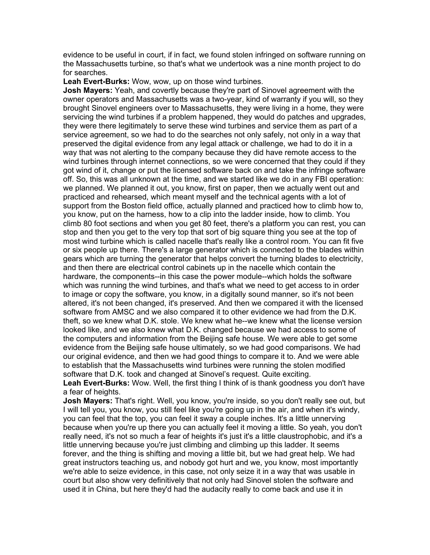evidence to be useful in court, if in fact, we found stolen infringed on software running on the Massachusetts turbine, so that's what we undertook was a nine month project to do for searches.

**Leah Evert-Burks:** Wow, wow, up on those wind turbines.

**Josh Mayers:** Yeah, and covertly because they're part of Sinovel agreement with the owner operators and Massachusetts was a two-year, kind of warranty if you will, so they brought Sinovel engineers over to Massachusetts, they were living in a home, they were servicing the wind turbines if a problem happened, they would do patches and upgrades, they were there legitimately to serve these wind turbines and service them as part of a service agreement, so we had to do the searches not only safely, not only in a way that preserved the digital evidence from any legal attack or challenge, we had to do it in a way that was not alerting to the company because they did have remote access to the wind turbines through internet connections, so we were concerned that they could if they got wind of it, change or put the licensed software back on and take the infringe software off. So, this was all unknown at the time, and we started like we do in any FBI operation: we planned. We planned it out, you know, first on paper, then we actually went out and practiced and rehearsed, which meant myself and the technical agents with a lot of support from the Boston field office, actually planned and practiced how to climb how to, you know, put on the harness, how to a clip into the ladder inside, how to climb. You climb 80 foot sections and when you get 80 feet, there's a platform you can rest, you can stop and then you get to the very top that sort of big square thing you see at the top of most wind turbine which is called nacelle that's really like a control room. You can fit five or six people up there. There's a large generator which is connected to the blades within gears which are turning the generator that helps convert the turning blades to electricity, and then there are electrical control cabinets up in the nacelle which contain the hardware, the components--in this case the power module--which holds the software which was running the wind turbines, and that's what we need to get access to in order to image or copy the software, you know, in a digitally sound manner, so it's not been altered, it's not been changed, it's preserved. And then we compared it with the licensed software from AMSC and we also compared it to other evidence we had from the D.K. theft, so we knew what D.K. stole. We knew what he--we knew what the license version looked like, and we also knew what D.K. changed because we had access to some of the computers and information from the Beijing safe house. We were able to get some evidence from the Beijing safe house ultimately, so we had good comparisons. We had our original evidence, and then we had good things to compare it to. And we were able to establish that the Massachusetts wind turbines were running the stolen modified software that D.K. took and changed at Sinovel's request. Quite exciting.

**Leah Evert-Burks:** Wow. Well, the first thing I think of is thank goodness you don't have a fear of heights.

**Josh Mayers:** That's right. Well, you know, you're inside, so you don't really see out, but I will tell you, you know, you still feel like you're going up in the air, and when it's windy, you can feel that the top, you can feel it sway a couple inches. It's a little unnerving because when you're up there you can actually feel it moving a little. So yeah, you don't really need, it's not so much a fear of heights it's just it's a little claustrophobic, and it's a little unnerving because you're just climbing and climbing up this ladder. It seems forever, and the thing is shifting and moving a little bit, but we had great help. We had great instructors teaching us, and nobody got hurt and we, you know, most importantly we're able to seize evidence, in this case, not only seize it in a way that was usable in court but also show very definitively that not only had Sinovel stolen the software and used it in China, but here they'd had the audacity really to come back and use it in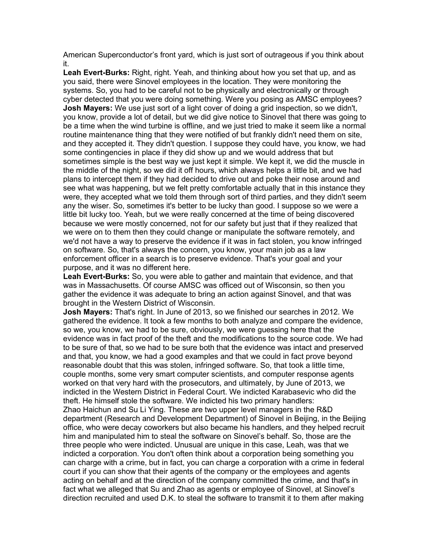American Superconductor's front yard, which is just sort of outrageous if you think about it.

**Leah Evert-Burks:** Right, right. Yeah, and thinking about how you set that up, and as you said, there were Sinovel employees in the location. They were monitoring the systems. So, you had to be careful not to be physically and electronically or through cyber detected that you were doing something. Were you posing as AMSC employees? **Josh Mayers:** We use just sort of a light cover of doing a grid inspection, so we didn't, you know, provide a lot of detail, but we did give notice to Sinovel that there was going to be a time when the wind turbine is offline, and we just tried to make it seem like a normal routine maintenance thing that they were notified of but frankly didn't need them on site, and they accepted it. They didn't question. I suppose they could have, you know, we had some contingencies in place if they did show up and we would address that but sometimes simple is the best way we just kept it simple. We kept it, we did the muscle in the middle of the night, so we did it off hours, which always helps a little bit, and we had plans to intercept them if they had decided to drive out and poke their nose around and see what was happening, but we felt pretty comfortable actually that in this instance they were, they accepted what we told them through sort of third parties, and they didn't seem any the wiser. So, sometimes it's better to be lucky than good. I suppose so we were a little bit lucky too. Yeah, but we were really concerned at the time of being discovered because we were mostly concerned, not for our safety but just that if they realized that we were on to them then they could change or manipulate the software remotely, and we'd not have a way to preserve the evidence if it was in fact stolen, you know infringed on software. So, that's always the concern, you know, your main job as a law enforcement officer in a search is to preserve evidence. That's your goal and your purpose, and it was no different here.

**Leah Evert-Burks:** So, you were able to gather and maintain that evidence, and that was in Massachusetts. Of course AMSC was officed out of Wisconsin, so then you gather the evidence it was adequate to bring an action against Sinovel, and that was brought in the Western District of Wisconsin.

**Josh Mayers:** That's right. In June of 2013, so we finished our searches in 2012. We gathered the evidence. It took a few months to both analyze and compare the evidence, so we, you know, we had to be sure, obviously, we were guessing here that the evidence was in fact proof of the theft and the modifications to the source code. We had to be sure of that, so we had to be sure both that the evidence was intact and preserved and that, you know, we had a good examples and that we could in fact prove beyond reasonable doubt that this was stolen, infringed software. So, that took a little time, couple months, some very smart computer scientists, and computer response agents worked on that very hard with the prosecutors, and ultimately, by June of 2013, we indicted in the Western District in Federal Court. We indicted Karabasevic who did the theft. He himself stole the software. We indicted his two primary handlers: Zhao Haichun and Su Li Ying. These are two upper level managers in the R&D department (Research and Development Department) of Sinovel in Beijing, in the Beijing office, who were decay coworkers but also became his handlers, and they helped recruit him and manipulated him to steal the software on Sinovel's behalf. So, those are the three people who were indicted. Unusual are unique in this case, Leah, was that we indicted a corporation. You don't often think about a corporation being something you can charge with a crime, but in fact, you can charge a corporation with a crime in federal court if you can show that their agents of the company or the employees and agents acting on behalf and at the direction of the company committed the crime, and that's in fact what we alleged that Su and Zhao as agents or employee of Sinovel, at Sinovel's direction recruited and used D.K. to steal the software to transmit it to them after making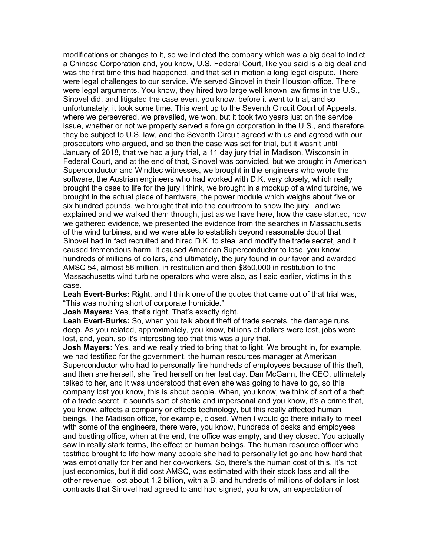modifications or changes to it, so we indicted the company which was a big deal to indict a Chinese Corporation and, you know, U.S. Federal Court, like you said is a big deal and was the first time this had happened, and that set in motion a long legal dispute. There were legal challenges to our service. We served Sinovel in their Houston office. There were legal arguments. You know, they hired two large well known law firms in the U.S., Sinovel did, and litigated the case even, you know, before it went to trial, and so unfortunately, it took some time. This went up to the Seventh Circuit Court of Appeals, where we persevered, we prevailed, we won, but it took two years just on the service issue, whether or not we properly served a foreign corporation in the U.S., and therefore, they be subject to U.S. law, and the Seventh Circuit agreed with us and agreed with our prosecutors who argued, and so then the case was set for trial, but it wasn't until January of 2018, that we had a jury trial, a 11 day jury trial in Madison, Wisconsin in Federal Court, and at the end of that, Sinovel was convicted, but we brought in American Superconductor and Windtec witnesses, we brought in the engineers who wrote the software, the Austrian engineers who had worked with D.K. very closely, which really brought the case to life for the jury I think, we brought in a mockup of a wind turbine, we brought in the actual piece of hardware, the power module which weighs about five or six hundred pounds, we brought that into the courtroom to show the jury, and we explained and we walked them through, just as we have here, how the case started, how we gathered evidence, we presented the evidence from the searches in Massachusetts of the wind turbines, and we were able to establish beyond reasonable doubt that Sinovel had in fact recruited and hired D.K. to steal and modify the trade secret, and it caused tremendous harm. It caused American Superconductor to lose, you know, hundreds of millions of dollars, and ultimately, the jury found in our favor and awarded AMSC 54, almost 56 million, in restitution and then \$850,000 in restitution to the Massachusetts wind turbine operators who were also, as I said earlier, victims in this case.

**Leah Evert-Burks:** Right, and I think one of the quotes that came out of that trial was, "This was nothing short of corporate homicide."

**Josh Mayers:** Yes, that's right. That's exactly right.

**Leah Evert-Burks:** So, when you talk about theft of trade secrets, the damage runs deep. As you related, approximately, you know, billions of dollars were lost, jobs were lost, and, yeah, so it's interesting too that this was a jury trial.

**Josh Mayers:** Yes, and we really tried to bring that to light. We brought in, for example, we had testified for the government, the human resources manager at American Superconductor who had to personally fire hundreds of employees because of this theft, and then she herself, she fired herself on her last day. Dan McGann, the CEO, ultimately talked to her, and it was understood that even she was going to have to go, so this company lost you know, this is about people. When, you know, we think of sort of a theft of a trade secret, it sounds sort of sterile and impersonal and you know, it's a crime that, you know, affects a company or effects technology, but this really affected human beings. The Madison office, for example, closed. When I would go there initially to meet with some of the engineers, there were, you know, hundreds of desks and employees and bustling office, when at the end, the office was empty, and they closed. You actually saw in really stark terms, the effect on human beings. The human resource officer who testified brought to life how many people she had to personally let go and how hard that was emotionally for her and her co-workers. So, there's the human cost of this. It's not just economics, but it did cost AMSC, was estimated with their stock loss and all the other revenue, lost about 1.2 billion, with a B, and hundreds of millions of dollars in lost contracts that Sinovel had agreed to and had signed, you know, an expectation of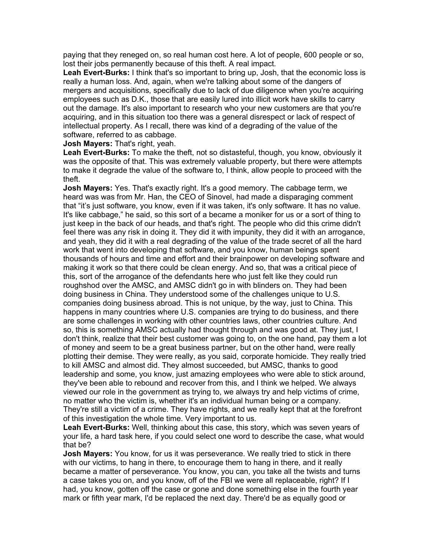paying that they reneged on, so real human cost here. A lot of people, 600 people or so, lost their jobs permanently because of this theft. A real impact.

**Leah Evert-Burks:** I think that's so important to bring up, Josh, that the economic loss is really a human loss. And, again, when we're talking about some of the dangers of mergers and acquisitions, specifically due to lack of due diligence when you're acquiring employees such as D.K., those that are easily lured into illicit work have skills to carry out the damage. It's also important to research who your new customers are that you're acquiring, and in this situation too there was a general disrespect or lack of respect of intellectual property. As I recall, there was kind of a degrading of the value of the software, referred to as cabbage.

**Josh Mayers:** That's right, yeah.

**Leah Evert-Burks:** To make the theft, not so distasteful, though, you know, obviously it was the opposite of that. This was extremely valuable property, but there were attempts to make it degrade the value of the software to, I think, allow people to proceed with the theft.

**Josh Mayers:** Yes. That's exactly right. It's a good memory. The cabbage term, we heard was was from Mr. Han, the CEO of Sinovel, had made a disparaging comment that "it's just software, you know, even if it was taken, it's only software. It has no value. It's like cabbage," he said, so this sort of a became a moniker for us or a sort of thing to just keep in the back of our heads, and that's right. The people who did this crime didn't feel there was any risk in doing it. They did it with impunity, they did it with an arrogance, and yeah, they did it with a real degrading of the value of the trade secret of all the hard work that went into developing that software, and you know, human beings spent thousands of hours and time and effort and their brainpower on developing software and making it work so that there could be clean energy. And so, that was a critical piece of this, sort of the arrogance of the defendants here who just felt like they could run roughshod over the AMSC, and AMSC didn't go in with blinders on. They had been doing business in China. They understood some of the challenges unique to U.S. companies doing business abroad. This is not unique, by the way, just to China. This happens in many countries where U.S. companies are trying to do business, and there are some challenges in working with other countries laws, other countries culture. And so, this is something AMSC actually had thought through and was good at. They just, I don't think, realize that their best customer was going to, on the one hand, pay them a lot of money and seem to be a great business partner, but on the other hand, were really plotting their demise. They were really, as you said, corporate homicide. They really tried to kill AMSC and almost did. They almost succeeded, but AMSC, thanks to good leadership and some, you know, just amazing employees who were able to stick around, they've been able to rebound and recover from this, and I think we helped. We always viewed our role in the government as trying to, we always try and help victims of crime, no matter who the victim is, whether it's an individual human being or a company. They're still a victim of a crime. They have rights, and we really kept that at the forefront of this investigation the whole time. Very important to us.

**Leah Evert-Burks:** Well, thinking about this case, this story, which was seven years of your life, a hard task here, if you could select one word to describe the case, what would that be?

**Josh Mayers:** You know, for us it was perseverance. We really tried to stick in there with our victims, to hang in there, to encourage them to hang in there, and it really became a matter of perseverance. You know, you can, you take all the twists and turns a case takes you on, and you know, off of the FBI we were all replaceable, right? If I had, you know, gotten off the case or gone and done something else in the fourth year mark or fifth year mark, I'd be replaced the next day. There'd be as equally good or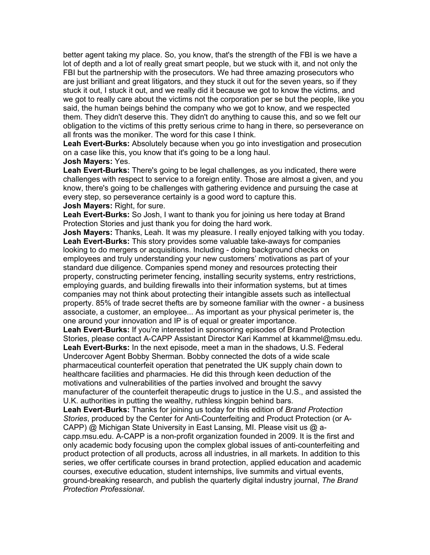better agent taking my place. So, you know, that's the strength of the FBI is we have a lot of depth and a lot of really great smart people, but we stuck with it, and not only the FBI but the partnership with the prosecutors. We had three amazing prosecutors who are just brilliant and great litigators, and they stuck it out for the seven years, so if they stuck it out, I stuck it out, and we really did it because we got to know the victims, and we got to really care about the victims not the corporation per se but the people, like you said, the human beings behind the company who we got to know, and we respected them. They didn't deserve this. They didn't do anything to cause this, and so we felt our obligation to the victims of this pretty serious crime to hang in there, so perseverance on all fronts was the moniker. The word for this case I think.

**Leah Evert-Burks:** Absolutely because when you go into investigation and prosecution on a case like this, you know that it's going to be a long haul.

## **Josh Mayers:** Yes.

**Leah Evert-Burks:** There's going to be legal challenges, as you indicated, there were challenges with respect to service to a foreign entity. Those are almost a given, and you know, there's going to be challenges with gathering evidence and pursuing the case at every step, so perseverance certainly is a good word to capture this. **Josh Mayers:** Right, for sure.

**Leah Evert-Burks:** So Josh, I want to thank you for joining us here today at Brand Protection Stories and just thank you for doing the hard work.

**Josh Mayers:** Thanks, Leah. It was my pleasure. I really enjoyed talking with you today. **Leah Evert-Burks:** This story provides some valuable take-aways for companies looking to do mergers or acquisitions. Including - doing background checks on employees and truly understanding your new customers' motivations as part of your standard due diligence. Companies spend money and resources protecting their property, constructing perimeter fencing, installing security systems, entry restrictions, employing guards, and building firewalls into their information systems, but at times companies may not think about protecting their intangible assets such as intellectual property. 85% of trade secret thefts are by someone familiar with the owner - a business associate, a customer, an employee... As important as your physical perimeter is, the one around your innovation and IP is of equal or greater importance.

**Leah Evert-Burks:** If you're interested in sponsoring episodes of Brand Protection Stories, please contact A-CAPP Assistant Director Kari Kammel at kkammel@msu.edu. **Leah Evert-Burks:** In the next episode, meet a man in the shadows, U.S. Federal Undercover Agent Bobby Sherman. Bobby connected the dots of a wide scale

pharmaceutical counterfeit operation that penetrated the UK supply chain down to healthcare facilities and pharmacies. He did this through keen deduction of the motivations and vulnerabilities of the parties involved and brought the savvy manufacturer of the counterfeit therapeutic drugs to justice in the U.S., and assisted the U.K. authorities in putting the wealthy, ruthless kingpin behind bars.

**Leah Evert-Burks:** Thanks for joining us today for this edition of *Brand Protection Stories*, produced by the Center for Anti-Counterfeiting and Product Protection (or A-CAPP) @ Michigan State University in East Lansing, MI. Please visit us @ acapp.msu.edu. A-CAPP is a non-profit organization founded in 2009. It is the first and only academic body focusing upon the complex global issues of anti-counterfeiting and product protection of all products, across all industries, in all markets. In addition to this series, we offer certificate courses in brand protection, applied education and academic courses, executive education, student internships, live summits and virtual events, ground-breaking research, and publish the quarterly digital industry journal, *The Brand Protection Professional*.